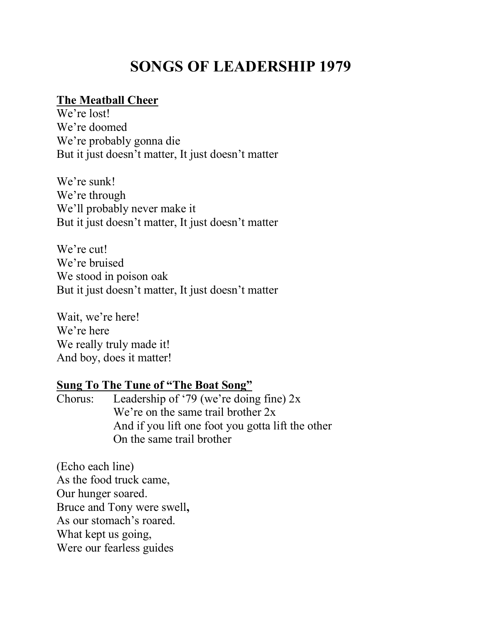# **SONGS OF LEADERSHIP 1979**

### **The Meatball Cheer**

We're lost! We're doomed We're probably gonna die But it just doesn't matter, It just doesn't matter

We're sunk! We're through We'll probably never make it But it just doesn't matter, It just doesn't matter

We're cut! We're bruised We stood in poison oak But it just doesn't matter, It just doesn't matter

Wait, we're here! We're here We really truly made it! And boy, does it matter!

#### **Sung To The Tune of "The Boat Song"**

Chorus: Leadership of '79 (we're doing fine)  $2x$ We're on the same trail brother  $2x$ And if you lift one foot you gotta lift the other On the same trail brother

(Echo each line) As the food truck came, Our hunger soared. Bruce and Tony were swell**,** As our stomach's roared. What kept us going, Were our fearless guides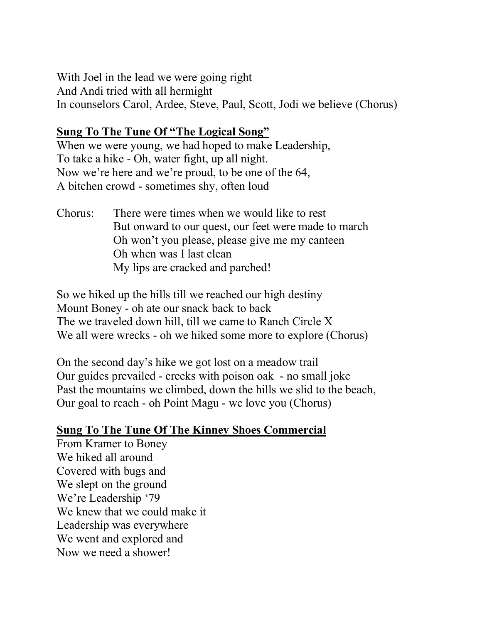With Joel in the lead we were going right And Andi tried with all hermight In counselors Carol, Ardee, Steve, Paul, Scott, Jodi we believe (Chorus)

#### **Sung To The Tune Of "The Logical Song"**

When we were young, we had hoped to make Leadership, To take a hike - Oh, water fight, up all night. Now we're here and we're proud, to be one of the 64, A bitchen crowd - sometimes shy, often loud

Chorus: There were times when we would like to rest But onward to our quest, our feet were made to march Oh won't you please, please give me my canteen Oh when was I last clean My lips are cracked and parched!

So we hiked up the hills till we reached our high destiny Mount Boney - oh ate our snack back to back The we traveled down hill, till we came to Ranch Circle X We all were wrecks - oh we hiked some more to explore (Chorus)

On the second day's hike we got lost on a meadow trail Our guides prevailed - creeks with poison oak - no small joke Past the mountains we climbed, down the hills we slid to the beach, Our goal to reach - oh Point Magu - we love you (Chorus)

## **Sung To The Tune Of The Kinney Shoes Commercial**

From Kramer to Boney We hiked all around Covered with bugs and We slept on the ground We're Leadership '79 We knew that we could make it Leadership was everywhere We went and explored and Now we need a shower!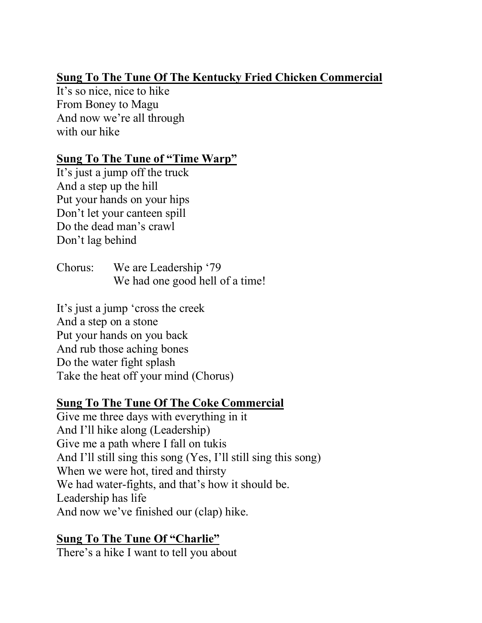## **Sung To The Tune Of The Kentucky Fried Chicken Commercial**

It's so nice, nice to hike From Boney to Magu And now we're all through with our hike

#### **Sung To The Tune of "Time Warp"**

It's just a jump off the truck And a step up the hill Put your hands on your hips Don't let your canteen spill Do the dead man's crawl Don't lag behind

Chorus: We are Leadership '79 We had one good hell of a time!

It's just a jump 'cross the creek And a step on a stone Put your hands on you back And rub those aching bones Do the water fight splash Take the heat off your mind (Chorus)

## **Sung To The Tune Of The Coke Commercial**

Give me three days with everything in it And I'll hike along (Leadership) Give me a path where I fall on tukis And I'll still sing this song (Yes, I'll still sing this song) When we were hot, tired and thirsty We had water-fights, and that's how it should be. Leadership has life And now we've finished our (clap) hike.

#### **Sung To The Tune Of "Charlie"**

There's a hike I want to tell you about